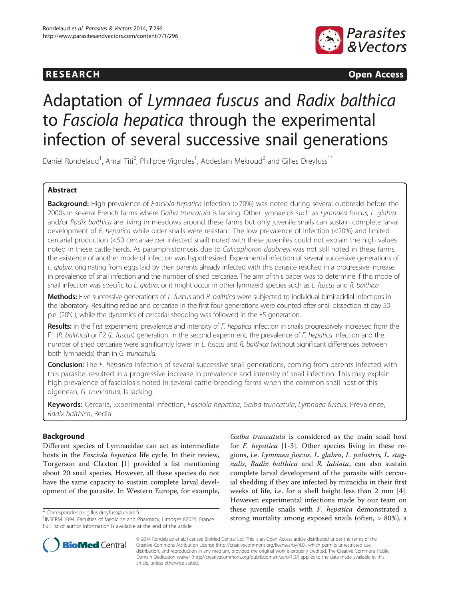# **RESEARCH CHINESEARCH CHINESEARCH CHINESE**



# Adaptation of Lymnaea fuscus and Radix balthica to Fasciola hepatica through the experimental infection of several successive snail generations

Daniel Rondelaud<sup>1</sup>, Amal Titi<sup>2</sup>, Philippe Vignoles<sup>1</sup>, Abdeslam Mekroud<sup>2</sup> and Gilles Dreyfuss<sup>1\*</sup>

# Abstract

Background: High prevalence of Fasciola hepatica infection (>70%) was noted during several outbreaks before the 2000s in several French farms where Galba truncatula is lacking. Other lymnaeids such as Lymnaea fuscus, L. glabra and/or Radix balthica are living in meadows around these farms but only juvenile snails can sustain complete larval development of F. hepatica while older snails were resistant. The low prevalence of infection (<20%) and limited cercarial production (<50 cercariae per infected snail) noted with these juveniles could not explain the high values noted in these cattle herds. As paramphistomosis due to Calicophoron daubneyi was not still noted in these farms, the existence of another mode of infection was hypothesized. Experimental infection of several successive generations of L. glabra, originating from eggs laid by their parents already infected with this parasite resulted in a progressive increase in prevalence of snail infection and the number of shed cercariae. The aim of this paper was to determine if this mode of snail infection was specific to L. glabra, or it might occur in other lymnaeid species such as L. fuscus and R. balthica.

Methods: Five successive generations of L. fuscus and R. balthica were subjected to individual bimiracidial infections in the laboratory. Resulting rediae and cercariae in the first four generations were counted after snail dissection at day 50 p.e. (20°C), while the dynamics of cercarial shedding was followed in the F5 generation.

Results: In the first experiment, prevalence and intensity of F. hepatica infection in snails progressively increased from the F1 (R. balthica) or F2 (L. fuscus) generation. In the second experiment, the prevalence of F. hepatica infection and the number of shed cercariae were significantly lower in L. fuscus and R. balthica (without significant differences between both lymnaeids) than in G. truncatula.

Conclusion: The F. hepatica infection of several successive snail generations, coming from parents infected with this parasite, resulted in a progressive increase in prevalence and intensity of snail infection. This may explain high prevalence of fasciolosis noted in several cattle-breeding farms when the common snail host of this digenean, G. truncatula, is lacking.

Keywords: Cercaria, Experimental infection, Fasciola hepatica, Galba truncatula, Lymnaea fuscus, Prevalence, Radix balthica, Redia

# Background

Different species of Lymnaeidae can act as intermediate hosts in the Fasciola hepatica life cycle. In their review, Torgerson and Claxton [[1\]](#page-5-0) provided a list mentioning about 20 snail species. However, all these species do not have the same capacity to sustain complete larval development of the parasite. In Western Europe, for example,

Galba truncatula is considered as the main snail host for F. hepatica [[1-3](#page-5-0)]. Other species living in these regions, i.e. Lymnaea fuscus, L. glabra, L. palustris, L. stagnalis, Radix balthica and R. labiata, can also sustain complete larval development of the parasite with cercarial shedding if they are infected by miracidia in their first weeks of life, i.e. for a shell height less than 2 mm [\[4](#page-5-0)]. However, experimental infections made by our team on these juvenile snails with F. hepatica demonstrated a strong mortality among exposed snails (often, > 80%), a \* Correspondence: [gilles.dreyfuss@unilim.fr](mailto:gilles.dreyfuss@unilim.fr) <sup>1</sup>



© 2014 Rondelaud et al.; licensee BioMed Central Ltd. This is an Open Access article distributed under the terms of the Creative Commons Attribution License (<http://creativecommons.org/licenses/by/4.0>), which permits unrestricted use, distribution, and reproduction in any medium, provided the original work is properly credited. The Creative Commons Public Domain Dedication waiver [\(http://creativecommons.org/publicdomain/zero/1.0/\)](http://creativecommons.org/publicdomain/zero/1.0/) applies to the data made available in this article, unless otherwise stated.

<sup>&</sup>lt;sup>1</sup> INSERM 1094, Faculties of Medicine and Pharmacy, Limoges 87025, France Full list of author information is available at the end of the article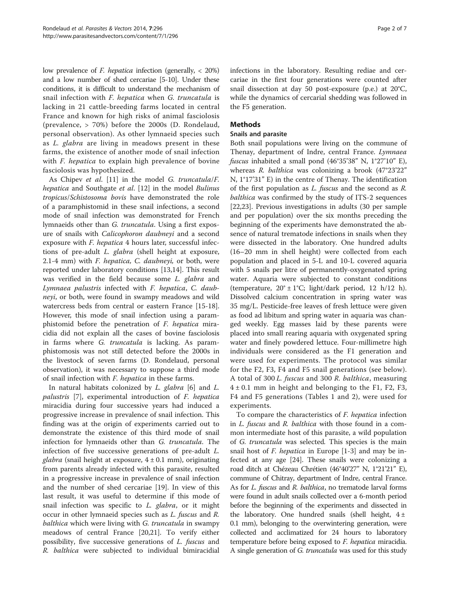low prevalence of F. hepatica infection (generally, < 20%) and a low number of shed cercariae [\[5-10\]](#page-5-0). Under these conditions, it is difficult to understand the mechanism of snail infection with F. hepatica when G. truncatula is lacking in 21 cattle-breeding farms located in central France and known for high risks of animal fasciolosis (prevalence, > 70%) before the 2000s (D. Rondelaud, personal observation). As other lymnaeid species such as L. glabra are living in meadows present in these farms, the existence of another mode of snail infection with *F. hepatica* to explain high prevalence of bovine fasciolosis was hypothesized.

As Chipev et al. [[11\]](#page-5-0) in the model G. truncatula/F. hepatica and Southgate et al. [[12\]](#page-5-0) in the model Bulinus tropicus/Schistosoma bovis have demonstrated the role of a paramphistomid in these snail infections, a second mode of snail infection was demonstrated for French lymnaeids other than G. truncatula. Using a first exposure of snails with Calicophoron daubneyi and a second exposure with F. hepatica 4 hours later, successful infections of pre-adult L. glabra (shell height at exposure, 2.1-4 mm) with F. hepatica, C. daubneyi, or both, were reported under laboratory conditions [\[13,14\]](#page-5-0). This result was verified in the field because some L. glabra and Lymnaea palustris infected with F. hepatica, C. daubneyi, or both, were found in swampy meadows and wild watercress beds from central or eastern France [\[15-18](#page-5-0)]. However, this mode of snail infection using a paramphistomid before the penetration of F. hepatica miracidia did not explain all the cases of bovine fasciolosis in farms where G. truncatula is lacking. As paramphistomosis was not still detected before the 2000s in the livestock of seven farms (D. Rondelaud, personal observation), it was necessary to suppose a third mode of snail infection with F. hepatica in these farms.

In natural habitats colonized by L. glabra [[6\]](#page-5-0) and L. palustris [\[7](#page-5-0)], experimental introduction of F. hepatica miracidia during four successive years had induced a progressive increase in prevalence of snail infection. This finding was at the origin of experiments carried out to demonstrate the existence of this third mode of snail infection for lymnaeids other than G. truncatula. The infection of five successive generations of pre-adult L. *glabra* (snail height at exposure,  $4 \pm 0.1$  mm), originating from parents already infected with this parasite, resulted in a progressive increase in prevalence of snail infection and the number of shed cercariae [[19](#page-5-0)]. In view of this last result, it was useful to determine if this mode of snail infection was specific to L. glabra, or it might occur in other lymnaeid species such as L. fuscus and R. balthica which were living with G. truncatula in swampy meadows of central France [[20,21\]](#page-5-0). To verify either possibility, five successive generations of L. fuscus and R. balthica were subjected to individual bimiracidial infections in the laboratory. Resulting rediae and cercariae in the first four generations were counted after snail dissection at day 50 post-exposure (p.e.) at 20°C, while the dynamics of cercarial shedding was followed in the F5 generation.

# Methods

#### Snails and parasite

Both snail populations were living on the commune of Thenay, department of Indre, central France. Lymnaea fuscus inhabited a small pond (46°35'38" N, 1°27'10" E), whereas R. balthica was colonizing a brook (47°23'22" N, 1°17'31" E) in the centre of Thenay. The identification of the first population as L. fuscus and the second as R. balthica was confirmed by the study of ITS-2 sequences [[22,23\]](#page-6-0). Previous investigations in adults (30 per sample and per population) over the six months preceding the beginning of the experiments have demonstrated the absence of natural trematode infections in snails when they were dissected in the laboratory. One hundred adults (16–20 mm in shell height) were collected from each population and placed in 5-L and 10-L covered aquaria with 5 snails per litre of permanently-oxygenated spring water. Aquaria were subjected to constant conditions (temperature, 20° ± 1°C; light/dark period, 12 h/12 h). Dissolved calcium concentration in spring water was 35 mg/L. Pesticide-free leaves of fresh lettuce were given as food ad libitum and spring water in aquaria was changed weekly. Egg masses laid by these parents were placed into small rearing aquaria with oxygenated spring water and finely powdered lettuce. Four-millimetre high individuals were considered as the F1 generation and were used for experiments. The protocol was similar for the F2, F3, F4 and F5 snail generations (see below). A total of 300 L. fuscus and 300 R. balthica, measuring  $4 \pm 0.1$  mm in height and belonging to the F1, F2, F3, F4 and F5 generations (Tables [1](#page-2-0) and [2\)](#page-2-0), were used for experiments.

To compare the characteristics of F. hepatica infection in L. fuscus and R. balthica with those found in a common intermediate host of this parasite, a wild population of G. truncatula was selected. This species is the main snail host of *F. hepatica* in Europe [\[1](#page-5-0)-[3\]](#page-5-0) and may be infected at any age [[24\]](#page-6-0). These snails were colonizing a road ditch at Chézeau Chrétien (46°40'27" N, 1°21'21" E), commune of Chitray, department of Indre, central France. As for *L. fuscus* and *R. balthica*, no trematode larval forms were found in adult snails collected over a 6-month period before the beginning of the experiments and dissected in the laboratory. One hundred snails (shell height,  $4 \pm$ 0.1 mm), belonging to the overwintering generation, were collected and acclimatized for 24 hours to laboratory temperature before being exposed to F. hepatica miracidia. A single generation of G. truncatula was used for this study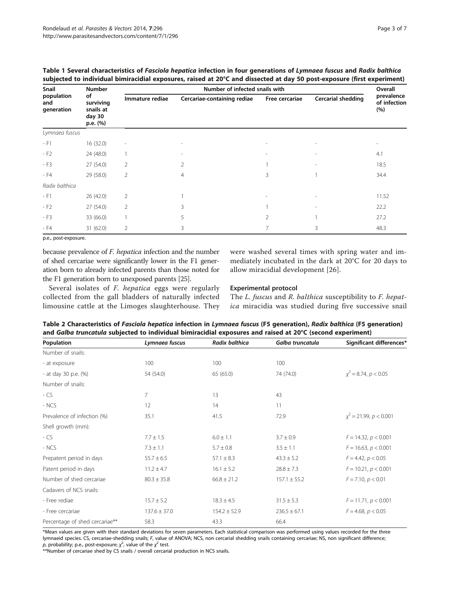| Snail<br>population<br>and<br>generation | <b>Number</b><br>of<br>surviving<br>snails at<br>day 30<br>p.e. (%) | Number of infected snails with |                             |                |                           |                                   |
|------------------------------------------|---------------------------------------------------------------------|--------------------------------|-----------------------------|----------------|---------------------------|-----------------------------------|
|                                          |                                                                     | Immature rediae                | Cercariae-containing rediae | Free cercariae | <b>Cercarial shedding</b> | prevalence<br>of infection<br>(%) |
| Lymnaea fuscus                           |                                                                     |                                |                             |                |                           |                                   |
| $- F1$                                   | 16 (32.0)                                                           | $\overline{\phantom{a}}$       | $\overline{\phantom{a}}$    |                |                           | $\overline{\phantom{a}}$          |
| $-F2$                                    | 24 (48.0)                                                           |                                |                             |                |                           | 4.1                               |
| $- F3$                                   | 27 (54.0)                                                           | $\overline{2}$                 | $\overline{2}$              |                |                           | 18.5                              |
| - F4                                     | 29 (58.0)                                                           | $\overline{2}$                 | $\overline{4}$              | 3              |                           | 34.4                              |
| Radix balthica                           |                                                                     |                                |                             |                |                           |                                   |
| $-FT$                                    | 26 (42.0)                                                           | $\overline{2}$                 |                             |                |                           | 11.52                             |
| $-F2$                                    | 27 (54.0)                                                           | 2                              | 3                           |                |                           | 22.2                              |
| $- F3$                                   | 33 (66.0)                                                           |                                | 5                           | 2              |                           | 27.2                              |
| - F4                                     | 31 (62.0)                                                           | $\overline{2}$                 | 3                           | 7              | 3                         | 48.3                              |

<span id="page-2-0"></span>

| Table 1 Several characteristics of Fasciola hepatica infection in four generations of Lymnaea fuscus and Radix balthica |
|-------------------------------------------------------------------------------------------------------------------------|
| subjected to individual bimiracidial exposures, raised at 20°C and dissected at day 50 post-exposure (first experiment) |

p.e., post-exposure.

because prevalence of F. hepatica infection and the number of shed cercariae were significantly lower in the F1 generation born to already infected parents than those noted for the F1 generation born to unexposed parents [[25](#page-6-0)].

Several isolates of F. hepatica eggs were regularly collected from the gall bladders of naturally infected limousine cattle at the Limoges slaughterhouse. They

were washed several times with spring water and immediately incubated in the dark at 20°C for 20 days to allow miracidial development [[26\]](#page-6-0).

#### Experimental protocol

The L. fuscus and R. balthica susceptibility to F. hepatica miracidia was studied during five successive snail

Table 2 Characteristics of Fasciola hepatica infection in Lymnaea fuscus (F5 generation), Radix balthica (F5 generation) and Galba truncatula subjected to individual bimiracidial exposures and raised at 20°C (second experiment)

| Population                     | Lymnaea fuscus   | Radix balthica   | Galba truncatula | Significant differences <sup>*</sup> |
|--------------------------------|------------------|------------------|------------------|--------------------------------------|
| Number of snails:              |                  |                  |                  |                                      |
| - at exposure                  | 100              | 100              | 100              |                                      |
| - at day 30 p.e. (%)           | 54 (54.0)        | 65 (65.0)        | 74 (74.0)        | $\chi^2$ = 8.74, p < 0.05            |
| Number of snails:              |                  |                  |                  |                                      |
| - CS                           | 7                | 13               | 43               |                                      |
| - NCS                          | 12               | 14               | 11               |                                      |
| Prevalence of infection (%)    | 35.1             | 41.5             | 72.9             | $x^2 = 21.99$ , $p < 0.001$          |
| Shell growth (mm):             |                  |                  |                  |                                      |
| - CS                           | $7.7 \pm 1.5$    | $6.0 \pm 1.1$    | $3.7 \pm 0.9$    | $F = 14.32, p < 0.001$               |
| - NCS                          | $7.3 \pm 1.1$    | $5.7 \pm 0.8$    | $3.5 \pm 1.1$    | $F = 16.63, p < 0.001$               |
| Prepatent period in days       | $55.7 \pm 6.5$   | $57.1 \pm 8.3$   | $43.3 \pm 5.2$   | $F = 4.42, p < 0.05$                 |
| Patent period in days          | $11.2 \pm 4.7$   | $16.1 \pm 5.2$   | $28.8 \pm 7.3$   | $F = 10.21, p < 0.001$               |
| Number of shed cercariae       | $80.3 \pm 35.8$  | $66.8 \pm 21.2$  | $157.1 \pm 55.2$ | $F = 7.10, p < 0.01$                 |
| Cadavers of NCS snails:        |                  |                  |                  |                                      |
| - Free rediae                  | $15.7 \pm 5.2$   | $18.3 \pm 4.5$   | $31.5 \pm 5.3$   | $F = 11.71, p < 0.001$               |
| - Free cercariae               | $137.6 \pm 37.0$ | $154.2 \pm 52.9$ | $236.5 \pm 67.1$ | $F = 4.68$ , $p < 0.05$              |
| Percentage of shed cercariae** | 58.3             | 43.3             | 66.4             |                                      |

\*Mean values are given with their standard deviations for seven parameters. Each statistical comparison was performed using values recorded for the three lymnaeid species. CS, cercariae-shedding snails; F, value of ANOVA; NCS, non cercarial shedding snails containing cercariae; NS, non significant difference; p, probability; p.e., post-exposure;  $\chi^2$ , value of the  $\chi^2$  test.

\*\*Number of cercariae shed by CS snails / overall cercarial production in NCS snails.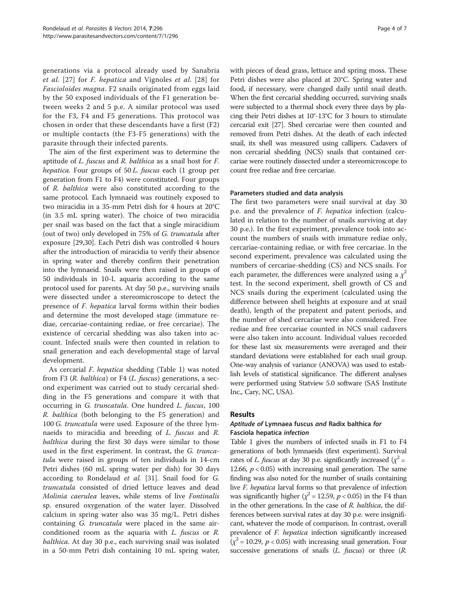generations via a protocol already used by Sanabria et al. [[27](#page-6-0)] for F. hepatica and Vignoles et al. [[28](#page-6-0)] for Fascioloides magna. F2 snails originated from eggs laid by the 50 exposed individuals of the F1 generation between weeks 2 and 5 p.e. A similar protocol was used for the F3, F4 and F5 generations. This protocol was chosen in order that these descendants have a first (F2) or multiple contacts (the F3-F5 generations) with the parasite through their infected parents.

The aim of the first experiment was to determine the aptitude of L. fuscus and R. balthica as a snail host for F. hepatica. Four groups of 50 L. fuscus each (1 group per generation from F1 to F4) were constituted. Four groups of R. balthica were also constituted according to the same protocol. Each lymnaeid was routinely exposed to two miracidia in a 35-mm Petri dish for 4 hours at 20°C (in 3.5 mL spring water). The choice of two miracidia per snail was based on the fact that a single miracidium (out of two) only developed in 75% of G. truncatula after exposure [[29,30\]](#page-6-0). Each Petri dish was controlled 4 hours after the introduction of miracidia to verify their absence in spring water and thereby confirm their penetration into the lymnaeid. Snails were then raised in groups of 50 individuals in 10-L aquaria according to the same protocol used for parents. At day 50 p.e., surviving snails were dissected under a stereomicroscope to detect the presence of F. hepatica larval forms within their bodies and determine the most developed stage (immature rediae, cercariae-containing rediae, or free cercariae). The existence of cercarial shedding was also taken into account. Infected snails were then counted in relation to snail generation and each developmental stage of larval development.

As cercarial F. hepatica shedding (Table [1](#page-2-0)) was noted from F3 ( $R$ . *balthica*) or F4 ( $L$ . *fuscus*) generations, a second experiment was carried out to study cercarial shedding in the F5 generations and compare it with that occurring in G. truncatula. One hundred L. fuscus, 100 R. balthica (both belonging to the F5 generation) and 100 G. truncatula were used. Exposure of the three lymnaeids to miracidia and breeding of L. fuscus and R. balthica during the first 30 days were similar to those used in the first experiment. In contrast, the G. truncatula were raised in groups of ten individuals in 14-cm Petri dishes (60 mL spring water per dish) for 30 days according to Rondelaud et al. [\[31](#page-6-0)]. Snail food for G. truncatula consisted of dried lettuce leaves and dead Molinia caerulea leaves, while stems of live Fontinalis sp. ensured oxygenation of the water layer. Dissolved calcium in spring water also was 35 mg/L. Petri dishes containing *G. truncatula* were placed in the same airconditioned room as the aquaria with L. fuscus or R. balthica. At day 30 p.e., each surviving snail was isolated in a 50-mm Petri dish containing 10 mL spring water,

with pieces of dead grass, lettuce and spring moss. These Petri dishes were also placed at 20°C. Spring water and food, if necessary, were changed daily until snail death. When the first cercarial shedding occurred, surviving snails were subjected to a thermal shock every three days by placing their Petri dishes at 10°-13°C for 3 hours to stimulate cercarial exit [\[27](#page-6-0)]. Shed cercariae were then counted and removed from Petri dishes. At the death of each infected snail, its shell was measured using callipers. Cadavers of non cercarial shedding (NCS) snails that contained cercariae were routinely dissected under a stereomicroscope to count free rediae and free cercariae.

#### Parameters studied and data analysis

The first two parameters were snail survival at day 30 p.e. and the prevalence of F. hepatica infection (calculated in relation to the number of snails surviving at day 30 p.e.). In the first experiment, prevalence took into account the numbers of snails with immature rediae only, cercariae-containing rediae, or with free cercariae. In the second experiment, prevalence was calculated using the numbers of cercariae-shedding (CS) and NCS snails. For each parameter, the differences were analyzed using a  $\chi^2$ test. In the second experiment, shell growth of CS and NCS snails during the experiment (calculated using the difference between shell heights at exposure and at snail death), length of the prepatent and patent periods, and the number of shed cercariae were also considered. Free rediae and free cercariae counted in NCS snail cadavers were also taken into account. Individual values recorded for these last six measurements were averaged and their standard deviations were established for each snail group. One-way analysis of variance (ANOVA) was used to establish levels of statistical significance. The different analyses were performed using Statview 5.0 software (SAS Institute Inc., Cary, NC, USA).

#### Results

## Aptitude of Lymnaea fuscus and Radix balthica for Fasciola hepatica infection

Table [1](#page-2-0) gives the numbers of infected snails in F1 to F4 generations of both lymnaeids (first experiment). Survival rates of *L. fuscus* at day 30 p.e. significantly increased ( $\chi^2$  = 12.66,  $p < 0.05$ ) with increasing snail generation. The same finding was also noted for the number of snails containing live F. hepatica larval forms so that prevalence of infection was significantly higher ( $\chi^2$  = 12.59,  $p$  < 0.05) in the F4 than in the other generations. In the case of  $R$ . balthica, the differences between survival rates at day 30 p.e. were insignificant, whatever the mode of comparison. In contrast, overall prevalence of F. hepatica infection significantly increased  $(\chi^2 = 10.29, p < 0.05)$  with increasing snail generation. Four successive generations of snails  $(L.$  fuscus) or three  $(R.$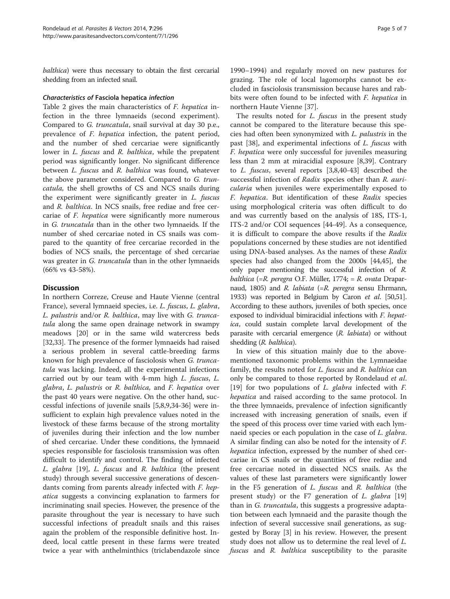balthica) were thus necessary to obtain the first cercarial shedding from an infected snail.

#### Characteristics of Fasciola hepatica infection

Table [2](#page-2-0) gives the main characteristics of F. hepatica infection in the three lymnaeids (second experiment). Compared to G. truncatula, snail survival at day 30 p.e., prevalence of F. hepatica infection, the patent period, and the number of shed cercariae were significantly lower in *L. fuscus* and *R. balthica*, while the prepatent period was significantly longer. No significant difference between L. fuscus and R. balthica was found, whatever the above parameter considered. Compared to G. truncatula, the shell growths of CS and NCS snails during the experiment were significantly greater in L. fuscus and R. balthica. In NCS snails, free rediae and free cercariae of F. hepatica were significantly more numerous in G. truncatula than in the other two lymnaeids. If the number of shed cercariae noted in CS snails was compared to the quantity of free cercariae recorded in the bodies of NCS snails, the percentage of shed cercariae was greater in *G. truncatula* than in the other lymnaeids (66% vs 43-58%).

## **Discussion**

In northern Correze, Creuse and Haute Vienne (central France), several lymnaeid species, i.e. L. fuscus, L. glabra, L. palustris and/or R. balthica, may live with G. truncatula along the same open drainage network in swampy meadows [\[20\]](#page-5-0) or in the same wild watercress beds [[32,33\]](#page-6-0). The presence of the former lymnaeids had raised a serious problem in several cattle-breeding farms known for high prevalence of fasciolosis when G. truncatula was lacking. Indeed, all the experimental infections carried out by our team with 4-mm high L. fuscus, L. glabra, L. palustris or R. balthica, and F. hepatica over the past 40 years were negative. On the other hand, successful infections of juvenile snails [\[5](#page-5-0),[8](#page-5-0),[9,](#page-5-0)[34-36\]](#page-6-0) were insufficient to explain high prevalence values noted in the livestock of these farms because of the strong mortality of juveniles during their infection and the low number of shed cercariae. Under these conditions, the lymnaeid species responsible for fasciolosis transmission was often difficult to identify and control. The finding of infected L. glabra [[19\]](#page-5-0), L. fuscus and R. balthica (the present study) through several successive generations of descendants coming from parents already infected with F. hepatica suggests a convincing explanation to farmers for incriminating snail species. However, the presence of the parasite throughout the year is necessary to have such successful infections of preadult snails and this raises again the problem of the responsible definitive host. Indeed, local cattle present in these farms were treated twice a year with anthelminthics (triclabendazole since 1990–1994) and regularly moved on new pastures for grazing. The role of local lagomorphs cannot be excluded in fasciolosis transmission because hares and rabbits were often found to be infected with F. hepatica in northern Haute Vienne [\[37](#page-6-0)].

The results noted for *L. fuscus* in the present study cannot be compared to the literature because this species had often been synonymized with L. palustris in the past [[38\]](#page-6-0), and experimental infections of L. fuscus with F. hepatica were only successful for juveniles measuring less than 2 mm at miracidial exposure [[8,](#page-5-0)[39\]](#page-6-0). Contrary to L. fuscus, several reports [\[3,8](#page-5-0)[,40](#page-6-0)-[43\]](#page-6-0) described the successful infection of Radix species other than R. auricularia when juveniles were experimentally exposed to F. hepatica. But identification of these Radix species using morphological criteria was often difficult to do and was currently based on the analysis of 18S, ITS-1, ITS-2 and/or COI sequences [[44-49\]](#page-6-0). As a consequence, it is difficult to compare the above results if the Radix populations concerned by these studies are not identified using DNA-based analyses. As the names of these Radix species had also changed from the 2000s [\[44,45](#page-6-0)], the only paper mentioning the successful infection of R. balthica (=R. peregra O.F. Müller, 1774; = R. ovata Draparnaud, 1805) and R. labiata (=R. peregra sensu Ehrmann, 1933) was reported in Belgium by Caron et al. [[50,51](#page-6-0)]. According to these authors, juveniles of both species, once exposed to individual bimiracidial infections with F. hepatica, could sustain complete larval development of the parasite with cercarial emergence (R. labiata) or without shedding (R. balthica).

In view of this situation mainly due to the abovementioned taxonomic problems within the Lymnaeidae family, the results noted for *L. fuscus* and *R. balthica* can only be compared to those reported by Rondelaud et al. [[19\]](#page-5-0) for two populations of *L. glabra* infected with *F.* hepatica and raised according to the same protocol. In the three lymnaeids, prevalence of infection significantly increased with increasing generation of snails, even if the speed of this process over time varied with each lymnaeid species or each population in the case of *L. glabra*. A similar finding can also be noted for the intensity of F. hepatica infection, expressed by the number of shed cercariae in CS snails or the quantities of free rediae and free cercariae noted in dissected NCS snails. As the values of these last parameters were significantly lower in the F5 generation of L. fuscus and R. balthica (the present study) or the F7 generation of L. glabra  $[19]$  $[19]$  $[19]$ than in G. truncatula, this suggests a progressive adaptation between each lymnaeid and the parasite though the infection of several successive snail generations, as suggested by Boray [\[3\]](#page-5-0) in his review. However, the present study does not allow us to determine the real level of L. fuscus and R. balthica susceptibility to the parasite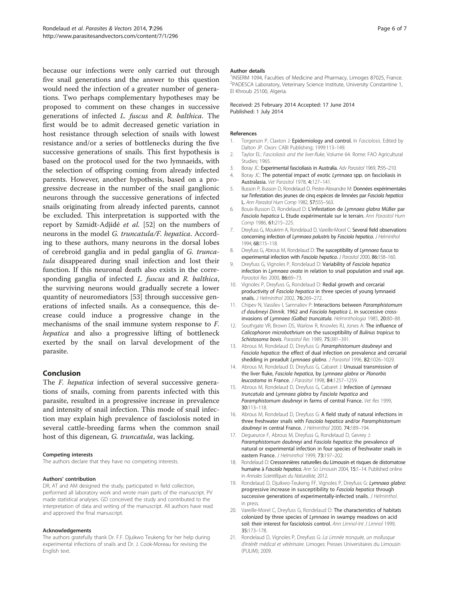<span id="page-5-0"></span>because our infections were only carried out through five snail generations and the answer to this question would need the infection of a greater number of generations. Two perhaps complementary hypotheses may be proposed to comment on these changes in successive generations of infected L. fuscus and R. balthica. The first would be to admit decreased genetic variation in host resistance through selection of snails with lowest resistance and/or a series of bottlenecks during the five successive generations of snails. This first hypothesis is based on the protocol used for the two lymnaeids, with the selection of offspring coming from already infected parents. However, another hypothesis, based on a progressive decrease in the number of the snail ganglionic neurons through the successive generations of infected snails originating from already infected parents, cannot be excluded. This interpretation is supported with the report by Szmidt-Adjidé et al. [[52](#page-6-0)] on the numbers of neurons in the model G. truncatula/F. hepatica. According to these authors, many neurons in the dorsal lobes of cerebroid ganglia and in pedal ganglia of G. truncatula disappeared during snail infection and lost their function. If this neuronal death also exists in the corresponding ganglia of infected L. fuscus and R. balthica, the surviving neurons would gradually secrete a lower quantity of neuromediators [[53\]](#page-6-0) through successive generations of infected snails. As a consequence, this decrease could induce a progressive change in the mechanisms of the snail immune system response to F. hepatica and also a progressive lifting of bottleneck exerted by the snail on larval development of the parasite.

## Conclusion

The F. hepatica infection of several successive generations of snails, coming from parents infected with this parasite, resulted in a progressive increase in prevalence and intensity of snail infection. This mode of snail infection may explain high prevalence of fasciolosis noted in several cattle-breeding farms when the common snail host of this digenean, G. truncatula, was lacking.

#### Competing interests

The authors declare that they have no competing interests.

#### Authors' contribution

DR, AT and AM designed the study, participated in field collection, performed all laboratory work and wrote main parts of the manuscript. PV made statistical analyses. GD conceived the study and contributed to the interpretation of data and writing of the manuscript. All authors have read and approved the final manuscript.

#### Acknowledgements

The authors gratefully thank Dr. F.F. Djuikwo Teukeng for her help during experimental infections of snails and Dr. J. Cook-Moreau for revising the English text.

#### Author details

<sup>1</sup>INSERM 1094, Faculties of Medicine and Pharmacy, Limoges 87025, France <sup>2</sup>PADESCA Laboratory, Veterinary Science Institute, University Constantine 1 El Khroub 25100, Algeria.

Received: 25 February 2014 Accepted: 17 June 2014 Published: 1 July 2014

#### References

- 1. Torgerson P, Claxton J: Epidemiology and control. In Fasciolosis. Edited by Dalton JP. Oxon: CABI Publishing; 1999:113–149.
- 2. Taylor EL: Fascioliasis and the liver-fluke, Volume 64. Rome: FAO Agricultural Studies; 1965.
- 3. Boray JC: Experimental fascioliasis in Australia. Adv Parasitol 1969, 7:95–210.
- 4. Boray JC: The potential impact of exotic Lymnaea spp. on fascioliasis in Australasia. Vet Parasitol 1978, 4:127–141.
- 5. Busson P, Busson D, Rondelaud D, Pestre-Alexandre M: Données expérimentales sur l'infestation des jeunes de cinq espèces de limnées par Fasciola hepatica L. Ann Parasitol Hum Comp 1982, 57:555–563.
- 6. Bouix-Busson D, Rondelaud D: L'infestation de Lymnaea glabra Müller par Fasciola hepatica L. Etude expérimentale sur le terrain. Ann Parasitol Hum Comp 1986, 61:215–225.
- 7. Dreyfuss G, Moukrim A, Rondelaud D, Vareille-Morel C: Several field observations concerning infection of Lymnaea palustris by Fasciola hepatica. J Helminthol 1994, 68:115–118.
- 8. Dreyfuss G, Abrous M, Rondelaud D: The susceptibility of Lymnaea fuscus to experimental infection with Fasciola hepatica. J Parasitol 2000, 86:158-160.
- 9. Dreyfuss G, Vignoles P, Rondelaud D: Variability of Fasciola hepatica infection in Lymnaea ovata in relation to snail population and snail age. Parasitol Res 2000, 86:69–73.
- 10. Vignoles P, Dreyfuss G, Rondelaud D: Redial growth and cercarial productivity of Fasciola hepatica in three species of young lymnaeid snails. J Helminthol 2002, 76:269-272.
- 11. Chipev N, Vassilev I, Samnaliev P: Interactions between Paramphistomum cf daubneyi Dinnik, 1962 and Fasciola hepatica L. in successive crossinvasions of Lymnaea (Galba) truncatula. Helminthologia 1985, 20:80–88.
- 12. Southgate VR, Brown DS, Warlow R, Knowles RJ, Jones A: The influence of Calicophoron microbothrium on the susceptibility of Bulinus tropicus to Schistosoma bovis. Parasitol Res 1989, 75:381–391.
- 13. Abrous M, Rondelaud D, Dreyfuss G: Paramphistomum daubneyi and Fasciola hepatica: the effect of dual infection on prevalence and cercarial shedding in preadult Lymnaea glabra. J Parasitol 1996, 82:1026-1029.
- 14. Abrous M, Rondelaud D, Dreyfuss G, Cabaret J: Unusual transmission of the liver fluke, Fasciola hepatica, by Lymnaea glabra or Planorbis leucostoma in France. J Parasitol 1998, 84:1257–1259.
- 15. Abrous M, Rondelaud D, Dreyfuss G, Cabaret J: Infection of Lymnaea truncatula and Lymnaea glabra by Fasciola hepatica and Paramphistomum daubneyi in farms of central France. Vet Res 1999, 30:113–118.
- 16. Abrous M, Rondelaud D, Dreyfuss G: A field study of natural infections in three freshwater snails with Fasciola hepatica and/or Paramphistomum daubneyi in central France. J Helminthol 2000, 74:189-194.
- 17. Degueurce F, Abrous M, Dreyfuss G, Rondelaud D, Gevrey J: Paramphistomum daubneyi and Fasciola hepatica: the prevalence of natural or experimental infection in four species of freshwater snails in eastern France. J Helminthol 1999, 73:197–202.
- 18. Rondelaud D: Cressonnières naturelles du Limousin et risques de distomatose humaine à Fasciola hepatica. Ann Sci Limousin 2004, 15:1–14. Published online in Annales Scientifiques du Naturaliste, 2012.
- 19. Rondelaud D, Djuikwo-Teukeng FF, Vignoles P, Dreyfuss G: Lymnaea glabra: progressive increase in susceptibility to Fasciola hepatica through successive generations of experimentally-infected snails. J Helminthol. in press.
- 20. Vareille-Morel C, Dreyfuss G, Rondelaud D: The characteristics of habitats colonized by three species of Lymnaea in swampy meadows on acid soil: their interest for fasciolosis control. Ann Limnol-Int J Limnol 1999, 35:173–178.
- 21. Rondelaud D, Vignoles P, Dreyfuss G: La Limnée tronquée, un mollusque d'intérêt médical et vétérinaire. Limoges: Presses Universitaires du Limousin (PULIM); 2009.